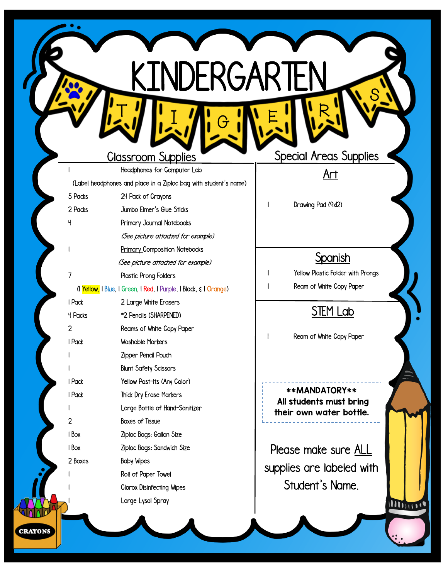|                | <u>Classroom</u> Supplies                                         |
|----------------|-------------------------------------------------------------------|
| 1              | Headphones for Computer Lab                                       |
|                | (Label headphones and place in a Ziploc bag with student's name)  |
| 5 Packs        | 24 Pack of Crayons                                                |
| 2 Packs        | Jumbo Elmer's Glue Sticks                                         |
| Ч              | Primary Journal Notebooks                                         |
|                | (See picture attached for example)                                |
|                | <b>Primary Composition Notebooks</b>                              |
|                | (See picture attached for example)                                |
| 7              | Plastic Prong Folders                                             |
|                | (I Yellow, I Blue, I Green, I Red, I Purple, I Black, & I Orange) |
| I Pack         | 2 Large White Erasers                                             |
| <b>4 Packs</b> | *2 Pencils (SHARPENED)                                            |
| 2              | Reams of White Copy Paper                                         |
| I Pack         | <b>Washable Markers</b>                                           |
|                | Zipper Pencil Pouch                                               |
|                | <b>Blunt Safety Scissors</b>                                      |
| I Pack         | Yellow Post-its (Any Color)                                       |
| I Pack         | <b>Thick Dry Erase Markers</b>                                    |
|                | Large Bottle of Hand-Sanitizer                                    |
| 2              | <b>Boxes of Tissue</b>                                            |
| I Box          | Ziploc Bags: Gallon Size                                          |
| I Box          | Ziploc Bags: Sandwich Size                                        |
| 2 Boxes        | <b>Baby Wipes</b>                                                 |
|                | Roll of Paper Towel                                               |
|                | <b>Clorox Disinfecting Wipes</b>                                  |
|                | Large Lysol Spray                                                 |
|                |                                                                   |
|                |                                                                   |

 $\frac{1}{2}$   $\frac{1}{2}$   $\frac{1}{2}$   $\frac{1}{2}$   $\frac{1}{6}$ 

KINDERGARTEN

C

**CRAYONS** 

**Special Areas Supplies** 

S

Art

Drawing Pad (9x12)

#### **Spanish**

1 Yellow Plastic Folder with Prongs 1 Ream of White Copy Paper

## STEM Lab

1 Ream of White Copy Paper

\*\*MANDATORY\*\* All students must bring their own water bottle.

Please make sure ALL supplies are labeled with Student's Name.

Minue